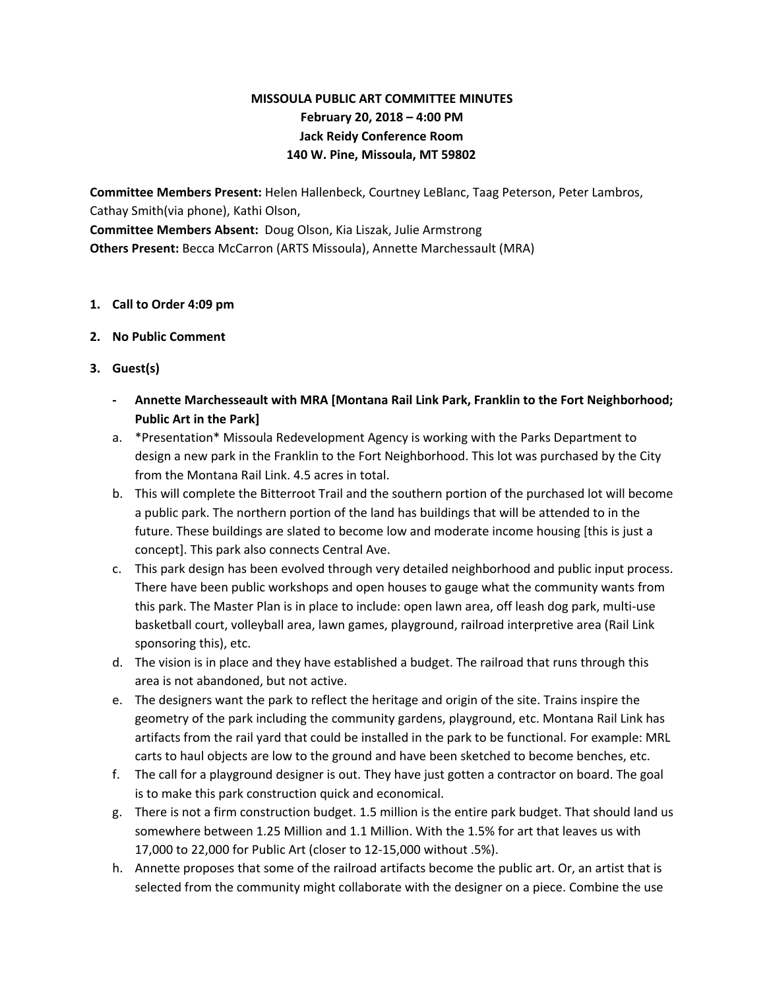# **MISSOULA PUBLIC ART COMMITTEE MINUTES February 20, 2018 – 4:00 PM Jack Reidy Conference Room 140 W. Pine, Missoula, MT 59802**

**Committee Members Present:** Helen Hallenbeck, Courtney LeBlanc, Taag Peterson, Peter Lambros, Cathay Smith(via phone), Kathi Olson, **Committee Members Absent:** Doug Olson, Kia Liszak, Julie Armstrong

**Others Present:** Becca McCarron (ARTS Missoula), Annette Marchessault (MRA)

### **1. Call to Order 4:09 pm**

- **2. No Public Comment**
- **3. Guest(s)**
	- **- Annette Marchesseault with MRA [Montana Rail Link Park, Franklin to the Fort Neighborhood; Public Art in the Park]**
	- a. \*Presentation\* Missoula Redevelopment Agency is working with the Parks Department to design a new park in the Franklin to the Fort Neighborhood. This lot was purchased by the City from the Montana Rail Link. 4.5 acres in total.
	- b. This will complete the Bitterroot Trail and the southern portion of the purchased lot will become a public park. The northern portion of the land has buildings that will be attended to in the future. These buildings are slated to become low and moderate income housing [this is just a concept]. This park also connects Central Ave.
	- c. This park design has been evolved through very detailed neighborhood and public input process. There have been public workshops and open houses to gauge what the community wants from this park. The Master Plan is in place to include: open lawn area, off leash dog park, multi-use basketball court, volleyball area, lawn games, playground, railroad interpretive area (Rail Link sponsoring this), etc.
	- d. The vision is in place and they have established a budget. The railroad that runs through this area is not abandoned, but not active.
	- e. The designers want the park to reflect the heritage and origin of the site. Trains inspire the geometry of the park including the community gardens, playground, etc. Montana Rail Link has artifacts from the rail yard that could be installed in the park to be functional. For example: MRL carts to haul objects are low to the ground and have been sketched to become benches, etc.
	- f. The call for a playground designer is out. They have just gotten a contractor on board. The goal is to make this park construction quick and economical.
	- g. There is not a firm construction budget. 1.5 million is the entire park budget. That should land us somewhere between 1.25 Million and 1.1 Million. With the 1.5% for art that leaves us with 17,000 to 22,000 for Public Art (closer to 12-15,000 without .5%).
	- h. Annette proposes that some of the railroad artifacts become the public art. Or, an artist that is selected from the community might collaborate with the designer on a piece. Combine the use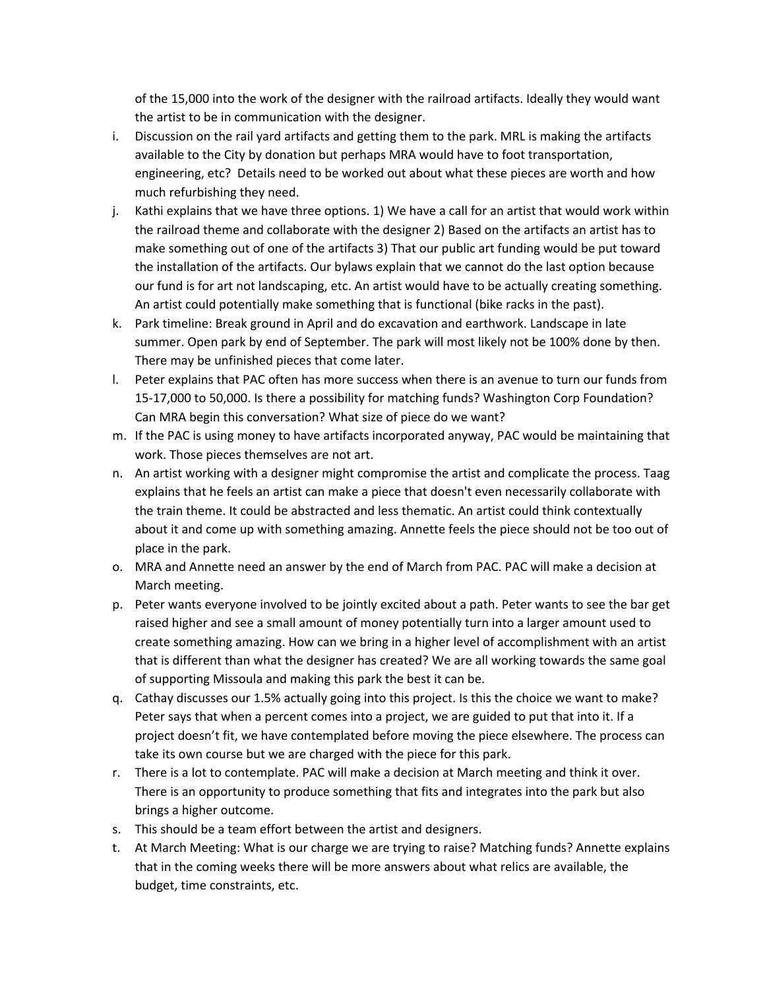of the 15,000 into the work of the designer with the railroad artifacts. Ideally they would want the artist to be in communication with the designer.

- i. Discussion on the rail yard artifacts and getting them to the park. MRL is making the artifacts available to the City by donation but perhaps MRA would have to foot transportation, engineering, etc? Details need to be worked out about what these pieces are worth and how much refurbishing they need.
- j. Kathi explains that we have three options. 1) We have a call for an artist that would work within the railroad theme and collaborate with the designer 2) Based on the artifacts an artist has to make something out of one of the artifacts 3) That our public art funding would be put toward the installation of the artifacts. Our bylaws explain that we cannot do the last option because our fund is for art not landscaping, etc. An artist would have to be actually creating something. An artist could potentially make something that is functional (bike racks in the past).
- k. Park timeline: Break ground in April and do excavation and earthwork. Landscape in late summer. Open park by end of September. The park will most likely not be 100% done by then. There may be unfinished pieces that come later.
- l. Peter explains that PAC often has more success when there is an avenue to turn our funds from 15-17,000 to 50,000. Is there a possibility for matching funds? Washington Corp Foundation? Can MRA begin this conversation? What size of piece do we want?
- m. If the PAC is using money to have artifacts incorporated anyway, PAC would be maintaining that work. Those pieces themselves are not art.
- n. An artist working with a designer might compromise the artist and complicate the process. Taag explains that he feels an artist can make a piece that doesn't even necessarily collaborate with the train theme. It could be abstracted and less thematic. An artist could think contextually about it and come up with something amazing. Annette feels the piece should not be too out of place in the park.
- o. MRA and Annette need an answer by the end of March from PAC. PAC will make a decision at March meeting.
- p. Peter wants everyone involved to be jointly excited about a path. Peter wants to see the bar get raised higher and see a small amount of money potentially turn into a larger amount used to create something amazing. How can we bring in a higher level of accomplishment with an artist that is different than what the designer has created? We are all working towards the same goal of supporting Missoula and making this park the best it can be.
- q. Cathay discusses our 1.5% actually going into this project. Is this the choice we want to make? Peter says that when a percent comes into a project, we are guided to put that into it. If a project doesn't fit, we have contemplated before moving the piece elsewhere. The process can take its own course but we are charged with the piece for this park.
- r. There is a lot to contemplate. PAC will make a decision at March meeting and think it over. There is an opportunity to produce something that fits and integrates into the park but also brings a higher outcome.
- s. This should be a team effort between the artist and designers.
- t. At March Meeting: What is our charge we are trying to raise? Matching funds? Annette explains that in the coming weeks there will be more answers about what relics are available, the budget, time constraints, etc.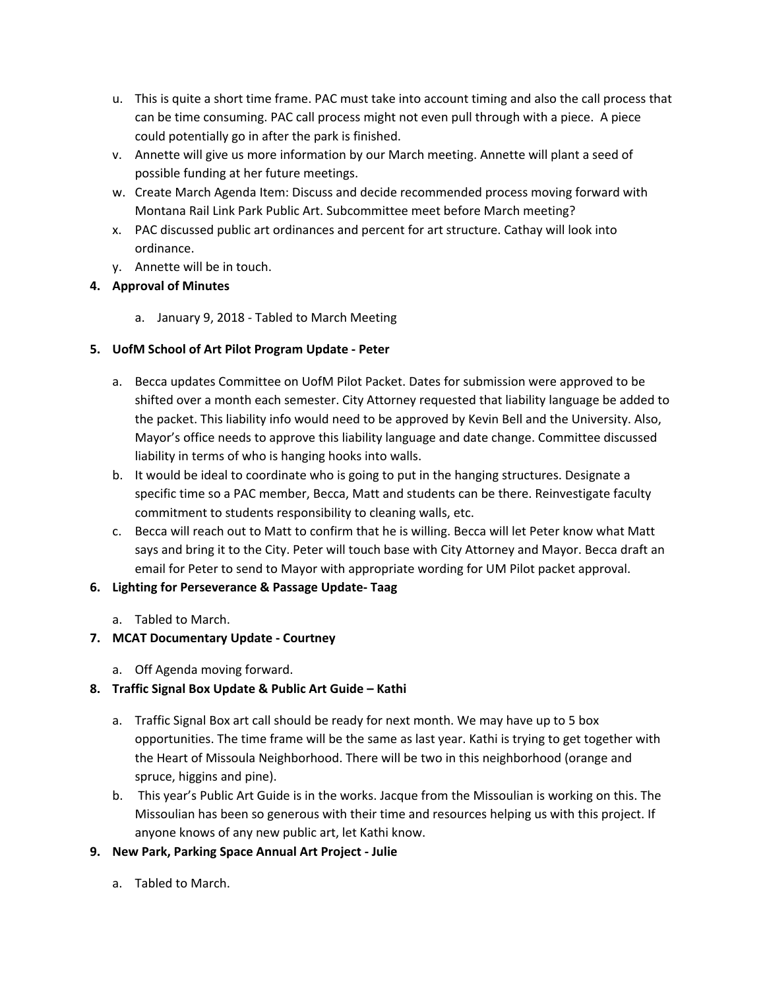- u. This is quite a short time frame. PAC must take into account timing and also the call process that can be time consuming. PAC call process might not even pull through with a piece. A piece could potentially go in after the park is finished.
- v. Annette will give us more information by our March meeting. Annette will plant a seed of possible funding at her future meetings.
- w. Create March Agenda Item: Discuss and decide recommended process moving forward with Montana Rail Link Park Public Art. Subcommittee meet before March meeting?
- x. PAC discussed public art ordinances and percent for art structure. Cathay will look into ordinance.
- y. Annette will be in touch.

# **4. Approval of Minutes**

a. January 9, 2018 - Tabled to March Meeting

## **5. UofM School of Art Pilot Program Update - Peter**

- a. Becca updates Committee on UofM Pilot Packet. Dates for submission were approved to be shifted over a month each semester. City Attorney requested that liability language be added to the packet. This liability info would need to be approved by Kevin Bell and the University. Also, Mayor's office needs to approve this liability language and date change. Committee discussed liability in terms of who is hanging hooks into walls.
- b. It would be ideal to coordinate who is going to put in the hanging structures. Designate a specific time so a PAC member, Becca, Matt and students can be there. Reinvestigate faculty commitment to students responsibility to cleaning walls, etc.
- c. Becca will reach out to Matt to confirm that he is willing. Becca will let Peter know what Matt says and bring it to the City. Peter will touch base with City Attorney and Mayor. Becca draft an email for Peter to send to Mayor with appropriate wording for UM Pilot packet approval.

# **6. Lighting for Perseverance & Passage Update- Taag**

a. Tabled to March.

# **7. MCAT Documentary Update - Courtney**

a. Off Agenda moving forward.

# **8. Traffic Signal Box Update & Public Art Guide – Kathi**

- a. Traffic Signal Box art call should be ready for next month. We may have up to 5 box opportunities. The time frame will be the same as last year. Kathi is trying to get together with the Heart of Missoula Neighborhood. There will be two in this neighborhood (orange and spruce, higgins and pine).
- b. This year's Public Art Guide is in the works. Jacque from the Missoulian is working on this. The Missoulian has been so generous with their time and resources helping us with this project. If anyone knows of any new public art, let Kathi know.

# **9. New Park, Parking Space Annual Art Project - Julie**

a. Tabled to March.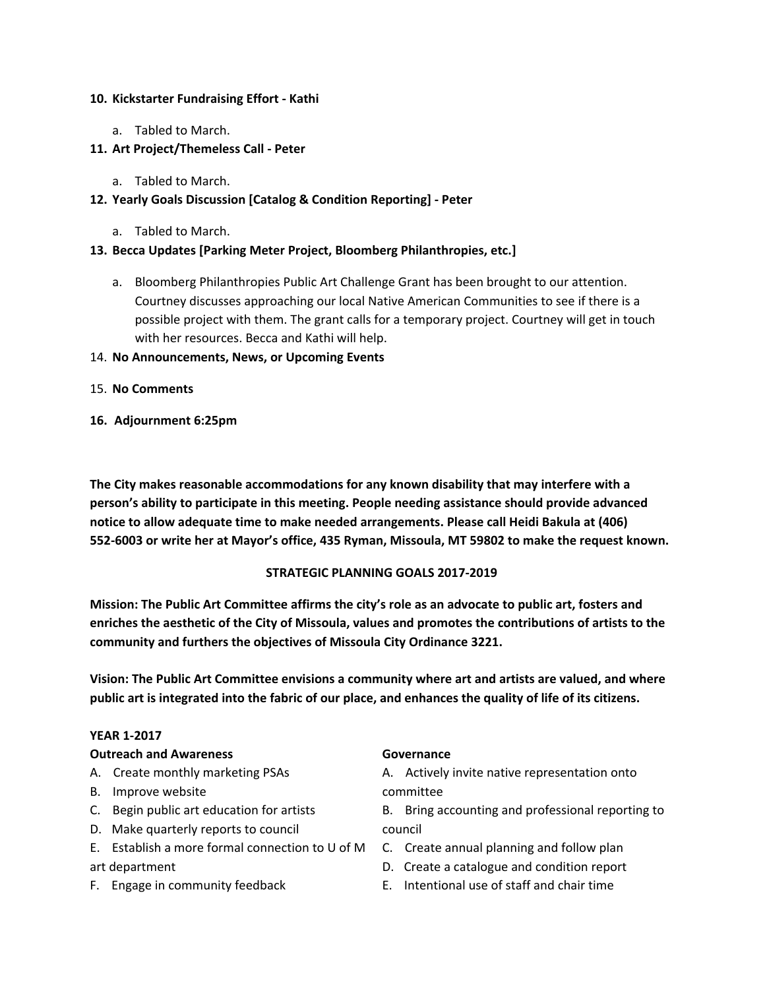#### **10. Kickstarter Fundraising Effort - Kathi**

a. Tabled to March.

## **11. Art Project/Themeless Call - Peter**

a. Tabled to March.

## **12. Yearly Goals Discussion [Catalog & Condition Reporting] - Peter**

a. Tabled to March.

### **13. Becca Updates [Parking Meter Project, Bloomberg Philanthropies, etc.]**

a. Bloomberg Philanthropies Public Art Challenge Grant has been brought to our attention. Courtney discusses approaching our local Native American Communities to see if there is a possible project with them. The grant calls for a temporary project. Courtney will get in touch with her resources. Becca and Kathi will help.

#### 14. **No Announcements, News, or Upcoming Events**

- 15. **No Comments**
- **16. Adjournment 6:25pm**

**The City makes reasonable accommodations for any known disability that may interfere with a person's ability to participate in this meeting. People needing assistance should provide advanced notice to allow adequate time to make needed arrangements. Please call Heidi Bakula at (406) 552-6003 or write her at Mayor's office, 435 Ryman, Missoula, MT 59802 to make the request known.**

#### **STRATEGIC PLANNING GOALS 2017-2019**

**Mission: The Public Art Committee affirms the city's role as an advocate to public art, fosters and enriches the aesthetic of the City of Missoula, values and promotes the contributions of artists to the community and furthers the objectives of Missoula City Ordinance 3221.**

**Vision: The Public Art Committee envisions a community where art and artists are valued, and where** public art is integrated into the fabric of our place, and enhances the quality of life of its citizens.

#### **YEAR 1-2017**

#### **Outreach and Awareness**

- A. Create monthly marketing PSAs
- B. Improve website
- C. Begin public art education for artists
- D. Make quarterly reports to council
- E. Establish a more formal connection to U of M C. Create annual planning and follow plan art department
- F. Engage in community feedback

#### **Governance**

A. Actively invite native representation onto committee

B. Bring accounting and professional reporting to council

- 
- D. Create a catalogue and condition report
- E. Intentional use of staff and chair time